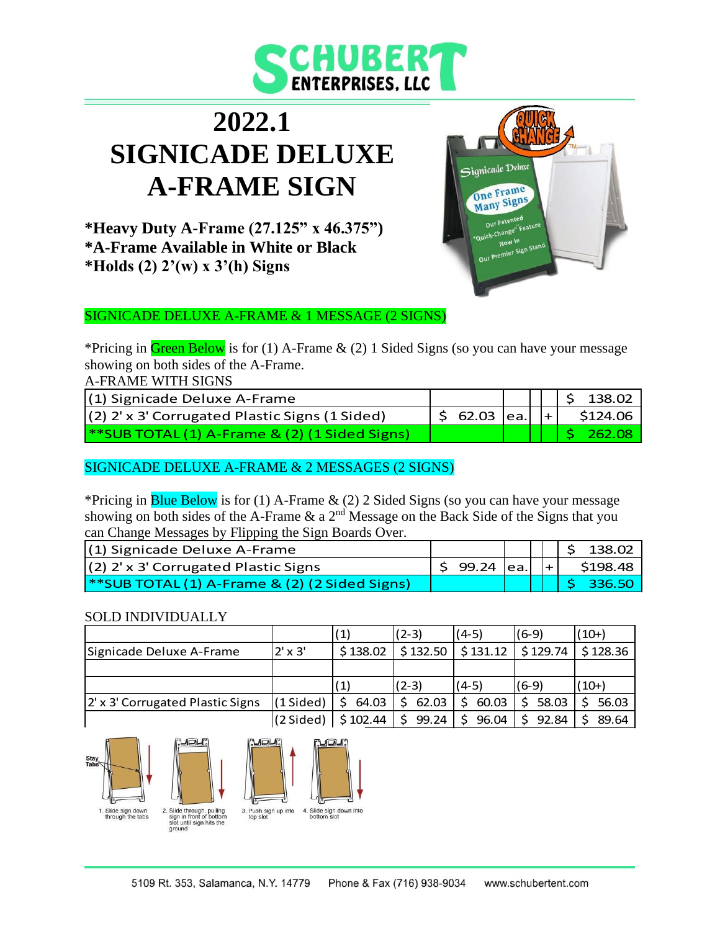

# **2022.1 SIGNICADE DELUXE A-FRAME SIGN**



**\*Heavy Duty A-Frame (27.125" x 46.375") \*A-Frame Available in White or Black \*Holds (2) 2'(w) x 3'(h) Signs**

#### SIGNICADE DELUXE A-FRAME & 1 MESSAGE (2 SIGNS)

\*Pricing in Green Below is for (1) A-Frame  $\&$  (2) 1 Sided Signs (so you can have your message showing on both sides of the A-Frame.

A-FRAME WITH SIGNS

| (1) Signicade Deluxe A-Frame                       |                               |  | $\frac{1}{2}$ \$ 138.02 |
|----------------------------------------------------|-------------------------------|--|-------------------------|
| (2) 2' x 3' Corrugated Plastic Signs (1 Sided)     | $\frac{1}{2}$ 62.03 ea. $ + $ |  | \$124.06                |
| $\ast$ SUB TOTAL (1) A-Frame & (2) (1 Sided Signs) |                               |  | $\sqrt{262.08}$         |

#### SIGNICADE DELUXE A-FRAME & 2 MESSAGES (2 SIGNS)

\*Pricing in **Blue Below** is for (1) A-Frame  $\&$  (2) 2 Sided Signs (so you can have your message showing on both sides of the A-Frame  $\&$  a 2<sup>nd</sup> Message on the Back Side of the Signs that you can Change Messages by Flipping the Sign Boards Over.

| (1) Signicade Deluxe A-Frame                    |                  |  | 138.02   |
|-------------------------------------------------|------------------|--|----------|
| $(2)$ 2' x 3' Corrugated Plastic Signs          | - 99.24  ea.   + |  | \$198.48 |
| $*$ SUB TOTAL (1) A-Frame & (2) (2 Sided Signs) |                  |  | 336.50   |

#### SOLD INDIVIDUALLY

|                                  |                     | (1)      | $(2-3)$    | (4-5)      | (6-9)      | $(10+)$  |
|----------------------------------|---------------------|----------|------------|------------|------------|----------|
| Signicade Deluxe A-Frame         | $2' \times 3'$      | \$138.02 | \$132.50   | \$131.12   | \$129.74   | \$128.36 |
|                                  |                     |          |            |            |            |          |
|                                  |                     |          |            |            |            |          |
|                                  |                     |          | (2-3)      | (4-5)      | (6-9)      | $(10+)$  |
| 2' x 3' Corrugated Plastic Signs | $(1 \text{ Sided})$ | 64.03    | 62.03<br>Ś | 60.03<br>S | 58.03<br>Ś | 56.03    |





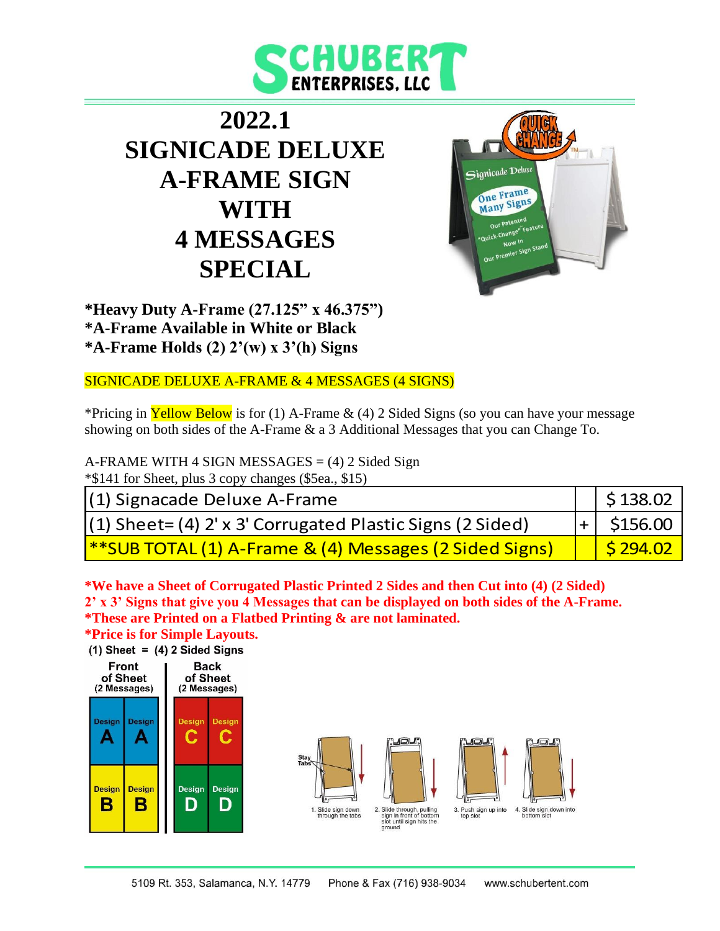

## **2022.1 SIGNICADE DELUXE A-FRAME SIGN WITH 4 MESSAGES SPECIAL**



**\*Heavy Duty A-Frame (27.125" x 46.375") \*A-Frame Available in White or Black \*A-Frame Holds (2) 2'(w) x 3'(h) Signs**

#### SIGNICADE DELUXE A-FRAME & 4 MESSAGES (4 SIGNS)

\*Pricing in **Yellow Below** is for (1) A-Frame  $\&$  (4) 2 Sided Signs (so you can have your message showing on both sides of the A-Frame & a 3 Additional Messages that you can Change To.

A-FRAME WITH 4 SIGN MESSAGES  $= (4) 2$  Sided Sign \*\$141 for Sheet, plus 3 copy changes (\$5ea., \$15)

| (1) Signacade Deluxe A-Frame                                       | $\frac{1}{2}$ \$ 138.02 |
|--------------------------------------------------------------------|-------------------------|
| $(1)$ Sheet= $(4)$ 2' x 3' Corrugated Plastic Signs (2 Sided)      | $ + $ \$156.00          |
| <b> **SUB TOTAL (1) A-Frame &amp; (4) Messages (2 Sided Signs)</b> | $\frac{1}{5}$ 294.02    |

**\*We have a Sheet of Corrugated Plastic Printed 2 Sides and then Cut into (4) (2 Sided) 2' x 3' Signs that give you 4 Messages that can be displayed on both sides of the A-Frame. \*These are Printed on a Flatbed Printing & are not laminated.**

**\*Price is for Simple Layouts.**

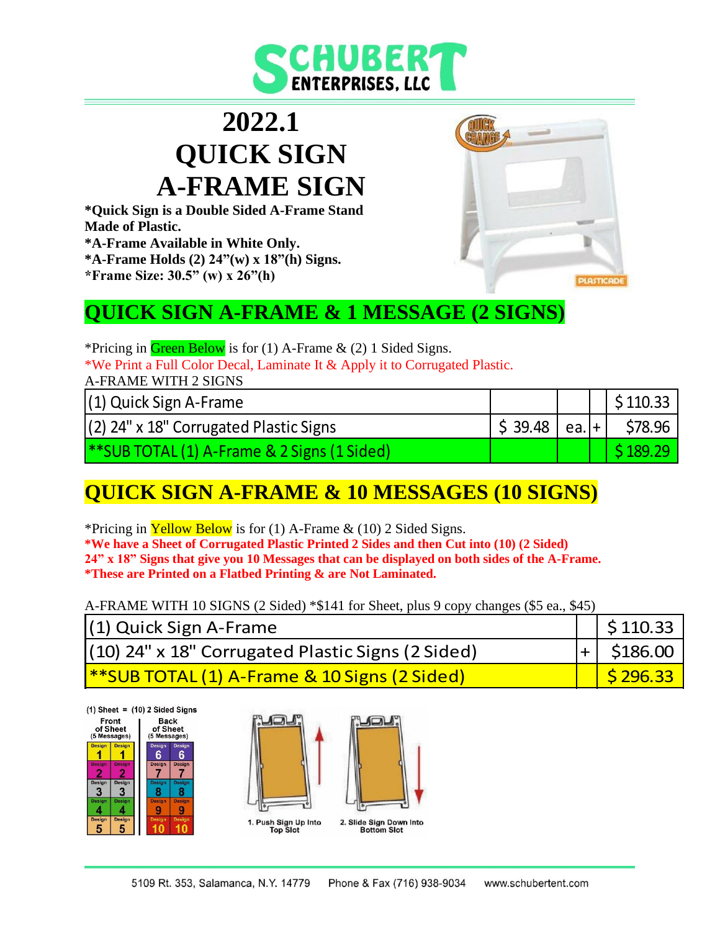

## **2022.1 QUICK SIGN A-FRAME SIGN**

**\*Quick Sign is a Double Sided A-Frame Stand Made of Plastic. \*A-Frame Available in White Only. \*A-Frame Holds (2) 24"(w) x 18"(h) Signs.**

**\*Frame Size: 30.5" (w) x 26"(h)**

#### **QUICK SIGN A-FRAME & 1 MESSAGE (2 SIGNS)**

\*Pricing in Green Below is for (1) A-Frame  $\&$  (2) 1 Sided Signs.

\*We Print a Full Color Decal, Laminate It & Apply it to Corrugated Plastic.

A-FRAME WITH 2 SIGNS

| $(1)$ Quick Sign A-Frame                           |        |          | \$110.33 |
|----------------------------------------------------|--------|----------|----------|
| $(2)$ 24" x 18" Corrugated Plastic Signs           | 539.48 | $ea.$  + | \$78.96  |
| <b>**SUB TOTAL (1)</b> A-Frame & 2 Signs (1 Sided) |        |          | 189.29   |

**PLASTIC** 

## **QUICK SIGN A-FRAME & 10 MESSAGES (10 SIGNS)**

\*Pricing in **Yellow Below** is for (1) A-Frame  $\&$  (10) 2 Sided Signs. **\*We have a Sheet of Corrugated Plastic Printed 2 Sides and then Cut into (10) (2 Sided) 24" x 18" Signs that give you 10 Messages that can be displayed on both sides of the A-Frame. \*These are Printed on a Flatbed Printing & are Not Laminated.**

A-FRAME WITH 10 SIGNS (2 Sided) \*\$141 for Sheet, plus 9 copy changes (\$5 ea., \$45)

| (1) Quick Sign A-Frame                                   | $\frac{1}{2}$ \$ 110.33 |
|----------------------------------------------------------|-------------------------|
| (10) 24" x 18" Corrugated Plastic Signs (2 Sided)        | $ + $ \$186.00          |
| <b> **SUB TOTAL (1) A-Frame &amp; 10 Signs (2 Sided)</b> | 5296.33                 |

 $(1)$  Sheet =  $(10)$  2 Sided Signs

| Front<br>of Sheet<br>(5 Messages) |                    | Back<br>of Sheet<br>(5 Messages) |               |
|-----------------------------------|--------------------|----------------------------------|---------------|
| <b>Design</b>                     | <b>Design</b>      | Design<br>6                      | Design<br>n   |
| <b>Design</b>                     | <b>Design</b>      | Design                           | <b>Design</b> |
| <b>Design</b><br>3                | <b>Design</b><br>¢ | <b>Design</b>                    | Design        |
| Design                            | <b>Design</b>      | <b>Design</b>                    | <b>Design</b> |
| Design<br>٠                       | Design<br>5        | Design                           | Design        |

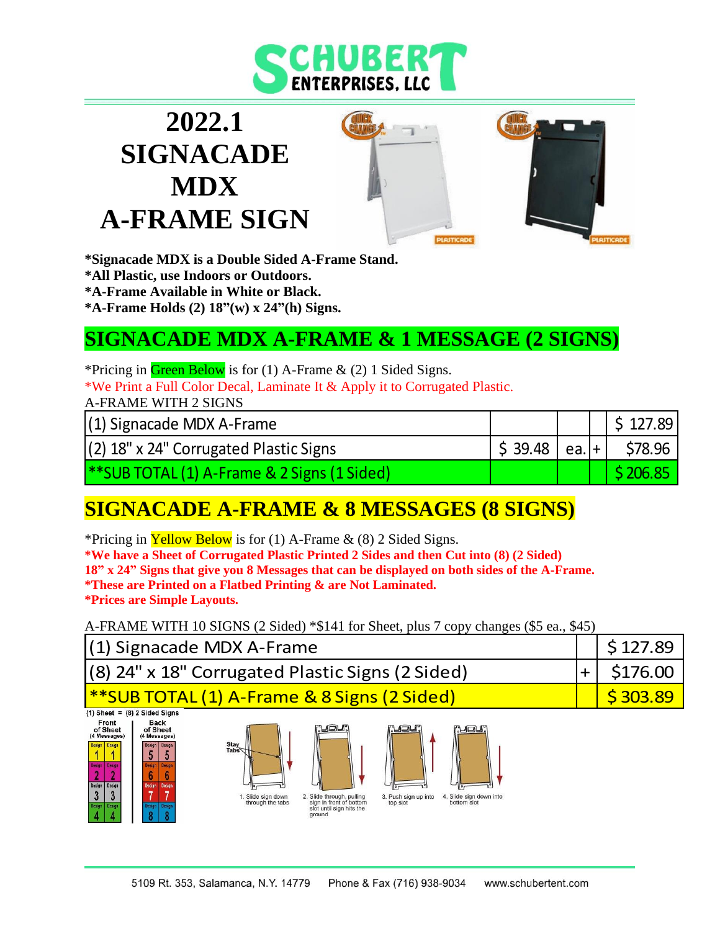

# **2022.1 SIGNACADE MDX A-FRAME SIGN**



**\*Signacade MDX is a Double Sided A-Frame Stand. \*All Plastic, use Indoors or Outdoors. \*A-Frame Available in White or Black. \*A-Frame Holds (2) 18"(w) x 24"(h) Signs.**

## **SIGNACADE MDX A-FRAME & 1 MESSAGE (2 SIGNS)**

\*Pricing in Green Below is for  $(1)$  A-Frame  $\&$   $(2)$  1 Sided Signs. \*We Print a Full Color Decal, Laminate It & Apply it to Corrugated Plastic.

A-FRAME WITH 2 SIGNS

(1) Signacade MDX A-Frame \$ 127.89

(2) 18" x 24" Corrugated Plastic Signs \$ 39.48 ea. + \$78.96

\*\*SUB TOTAL (1) A-Frame & 2 Signs (1 Sided) \$ 206.85

## **SIGNACADE A-FRAME & 8 MESSAGES (8 SIGNS)**

\*Pricing in Yellow Below is for (1) A-Frame  $\&$  (8) 2 Sided Signs. **\*We have a Sheet of Corrugated Plastic Printed 2 Sides and then Cut into (8) (2 Sided) 18" x 24" Signs that give you 8 Messages that can be displayed on both sides of the A-Frame. \*These are Printed on a Flatbed Printing & are Not Laminated. \*Prices are Simple Layouts.**

A-FRAME WITH 10 SIGNS (2 Sided) \*\$141 for Sheet, plus 7 copy changes (\$5 ea., \$45)

| (1) Signacade MDX A-Frame                                                                                                                                                                                                                                                       |                                       |                                                                                                          |                                                   |                                                        |  | \$127.89 |
|---------------------------------------------------------------------------------------------------------------------------------------------------------------------------------------------------------------------------------------------------------------------------------|---------------------------------------|----------------------------------------------------------------------------------------------------------|---------------------------------------------------|--------------------------------------------------------|--|----------|
| (8) 24" x 18" Corrugated Plastic Signs (2 Sided)<br>$\div$                                                                                                                                                                                                                      |                                       |                                                                                                          |                                                   |                                                        |  | \$176.00 |
| <b>**SUB TOTAL (1) A-Frame &amp; 8 Signs (2 Sided)</b>                                                                                                                                                                                                                          |                                       |                                                                                                          |                                                   |                                                        |  | \$303.89 |
| $(1)$ Sheet = $(8)$ 2 Sided Signs<br>Front<br>Back<br>of Sheet<br>of Sheet<br>(4 Messages)<br>(4 Messages)<br>Stay<br>Tabs<br><b>Design</b><br>Design<br><b>Design Design</b><br><b>Basinn</b><br><b>Beside</b><br>Design<br>Design<br><b>Design</b><br>Design<br><b>Design</b> | . Slide sign down<br>through the tabs | <b>MOU</b><br>2. Slide through, pulling<br>sign in front of bottom<br>slot until sign hits the<br>ground | <b>PLOL</b> .<br>3. Push sign up into<br>top slot | <u>tjadi</u><br>4. Slide sign down into<br>bottom slot |  |          |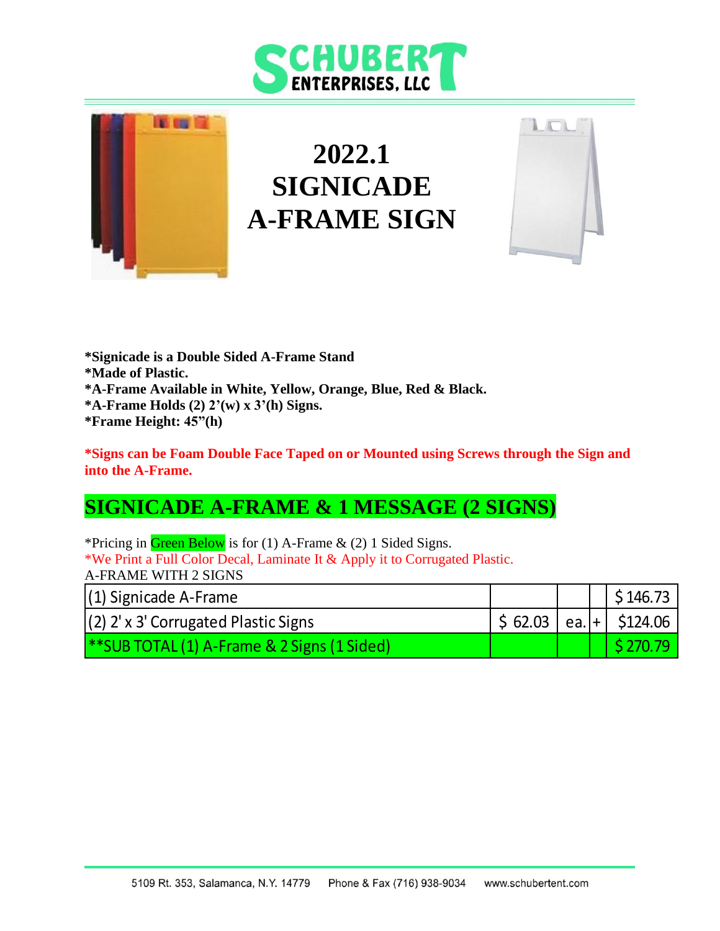# **CHUBERT**



# **2022.1 SIGNICADE A-FRAME SIGN**



**\*Signicade is a Double Sided A-Frame Stand \*Made of Plastic. \*A-Frame Available in White, Yellow, Orange, Blue, Red & Black. \*A-Frame Holds (2) 2'(w) x 3'(h) Signs. \*Frame Height: 45"(h)**

#### **\*Signs can be Foam Double Face Taped on or Mounted using Screws through the Sign and into the A-Frame.**

### **SIGNICADE A-FRAME & 1 MESSAGE (2 SIGNS)**

\*Pricing in Green Below is for (1) A-Frame  $\&$  (2) 1 Sided Signs. \*We Print a Full Color Decal, Laminate It & Apply it to Corrugated Plastic. A-FRAME WITH 2 SIGNS

| $(1)$ Signicade A-Frame                            |                                                       |  | \$146.73 |
|----------------------------------------------------|-------------------------------------------------------|--|----------|
| $(2)$ 2' x 3' Corrugated Plastic Signs             | $\frac{1}{2}$ \$ 62.03   ea. + $\frac{1}{2}$ \$124.06 |  |          |
| <b>**SUB TOTAL (1)</b> A-Frame & 2 Signs (1 Sided) |                                                       |  |          |